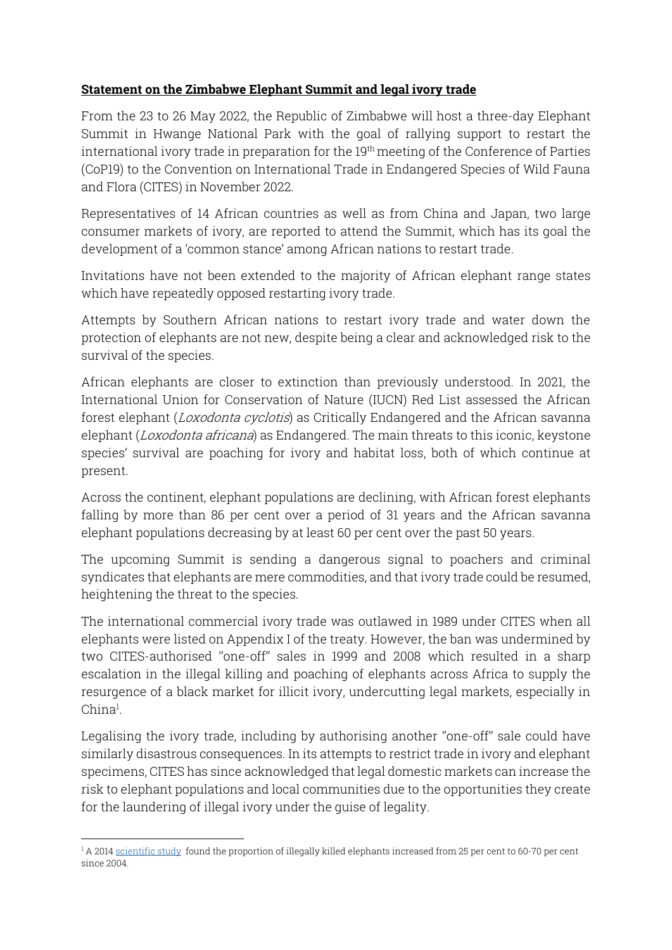## **Statement on the Zimbabwe Elephant Summit and legal ivory trade**

From the 23 to 26 May 2022, the Republic of Zimbabwe will host a three-day Elephant Summit in Hwange National Park with the goal of rallying support to restart the international ivory trade in preparation for the 19<sup>th</sup> meeting of the Conference of Parties (CoP19) to the Convention on International Trade in Endangered Species of Wild Fauna and Flora (CITES) in November 2022.

Representatives of 14 African countries as well as from China and Japan, two large consumer markets of ivory, are reported to attend the Summit, which has its goal the development of a 'common stance' among African nations to restart trade.

Invitations have not been extended to the majority of African elephant range states which have repeatedly opposed restarting ivory trade.

Attempts by Southern African nations to restart ivory trade and water down the protection of elephants are not new, despite being a clear and acknowledged risk to the survival of the species.

African elephants are closer to extinction than previously understood. In 2021, the International Union for Conservation of Nature (IUCN) Red List assessed the African forest elephant (*Loxodonta cyclotis*) as Critically Endangered and the African savanna elephant (*Loxodonta africana*) as Endangered. The main threats to this iconic, keystone species' survival are poaching for ivory and habitat loss, both of which continue at present.

Across the continent, elephant populations are declining, with African forest elephants falling by more than 86 per cent over a period of 31 years and the African savanna elephant populations decreasing by at least 60 per cent over the past 50 years.

The upcoming Summit is sending a dangerous signal to poachers and criminal syndicates that elephants are mere commodities, and that ivory trade could be resumed, heightening the threat to the species.

The international commercial ivory trade was outlawed in 1989 under CITES when all elephants were listed on Appendix I of the treaty. However, the ban was undermined by two CITES-authorised ''one-off'' sales in 1999 and 2008 which resulted in a sharp escalation in the illegal killing and poaching of elephants across Africa to supply the resurgence of a black market for illicit ivory, undercutting legal markets, especially in China<sup>l</sup>.

Legalising the ivory trade, including by authorising another ''one-off'' sale could have similarly disastrous consequences. In its attempts to restrict trade in ivory and elephant specimens, CITES has since acknowledged that legal domestic markets can increase the risk to elephant populations and local communities due to the opportunities they create for the laundering of illegal ivory under the guise of legality.

<sup>&</sup>lt;sup>1</sup> A 201[4 scientific study](https://source.colostate.edu/more-than-100k-elephants-killed/) found the proportion of illegally killed elephants increased from 25 per cent to 60-70 per cent since 2004.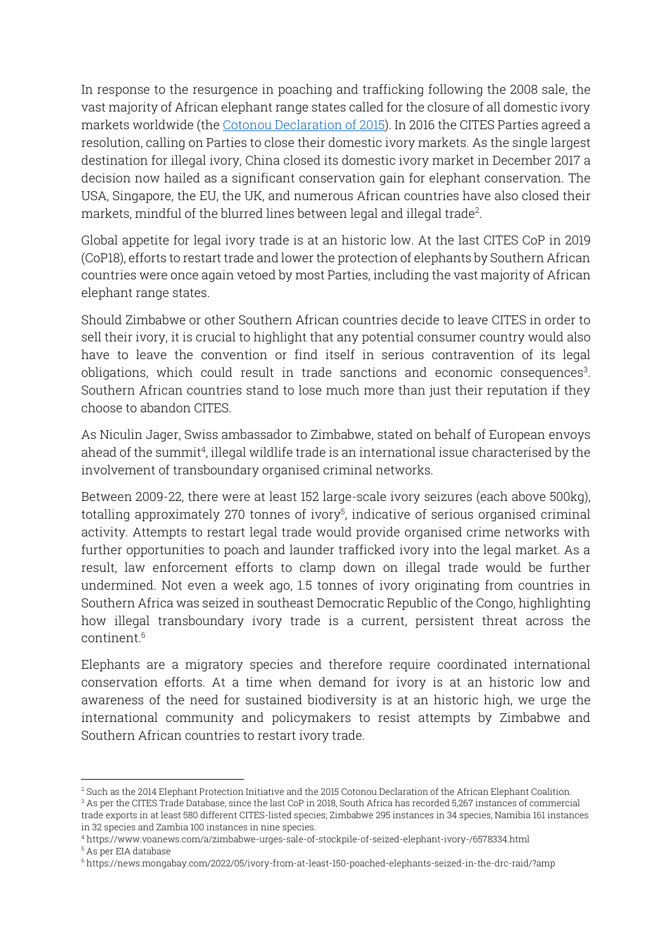In response to the resurgence in poaching and trafficking following the 2008 sale, the vast majority of African elephant range states called for the closure of all domestic ivory markets worldwide (the [Cotonou Declaration of 2015\)](http://www.elephantvoices.org/phocadownload/Cotonou-Declaration-4Nov2015.pdf). In 2016 the CITES Parties agreed a resolution, calling on Parties to close their domestic ivory markets. As the single largest destination for illegal ivory, China closed its domestic ivory market in December 2017 a decision now hailed as a significant conservation gain for elephant conservation. The USA, Singapore, the EU, the UK, and numerous African countries have also closed their markets, mindful of the blurred lines between legal and illegal trade<sup>2</sup> .

Global appetite for legal ivory trade is at an historic low. At the last CITES CoP in 2019 (CoP18), efforts to restart trade and lower the protection of elephants by Southern African countries were once again vetoed by most Parties, including the vast majority of African elephant range states.

Should Zimbabwe or other Southern African countries decide to leave CITES in order to sell their ivory, it is crucial to highlight that any potential consumer country would also have to leave the convention or find itself in serious contravention of its legal obligations, which could result in trade sanctions and economic consequences<sup>3</sup>. Southern African countries stand to lose much more than just their reputation if they choose to abandon CITES.

As Niculin Jager, Swiss ambassador to Zimbabwe, stated on behalf of European envoys ahead of the summit<sup>4</sup>, illegal wildlife trade is an international issue characterised by the involvement of transboundary organised criminal networks.

Between 2009-22, there were at least 152 large-scale ivory seizures (each above 500kg), totalling approximately 270 tonnes of ivory<sup>5</sup>, indicative of serious organised criminal activity. Attempts to restart legal trade would provide organised crime networks with further opportunities to poach and launder trafficked ivory into the legal market. As a result, law enforcement efforts to clamp down on illegal trade would be further undermined. Not even a week ago, 1.5 tonnes of ivory originating from countries in Southern Africa was seized in southeast Democratic Republic of the Congo, highlighting how illegal transboundary ivory trade is a current, persistent threat across the continent. 6

Elephants are a migratory species and therefore require coordinated international conservation efforts. At a time when demand for ivory is at an historic low and awareness of the need for sustained biodiversity is at an historic high, we urge the international community and policymakers to resist attempts by Zimbabwe and Southern African countries to restart ivory trade.

<sup>2</sup> Such as the 2014 Elephant Protection Initiative and the 2015 Cotonou Declaration of the African Elephant Coalition. <sup>3</sup> As per the CITES Trade Database, since the last CoP in 2018, South Africa has recorded 5,267 instances of commercial trade exports in at least 580 different CITES-listed species; Zimbabwe 295 instances in 34 species, Namibia 161 instances in 32 species and Zambia 100 instances in nine species.

<sup>4</sup> https://www.voanews.com/a/zimbabwe-urges-sale-of-stockpile-of-seized-elephant-ivory-/6578334.html <sup>5</sup> As per EIA database

<sup>6</sup> https://news.mongabay.com/2022/05/ivory-from-at-least-150-poached-elephants-seized-in-the-drc-raid/?amp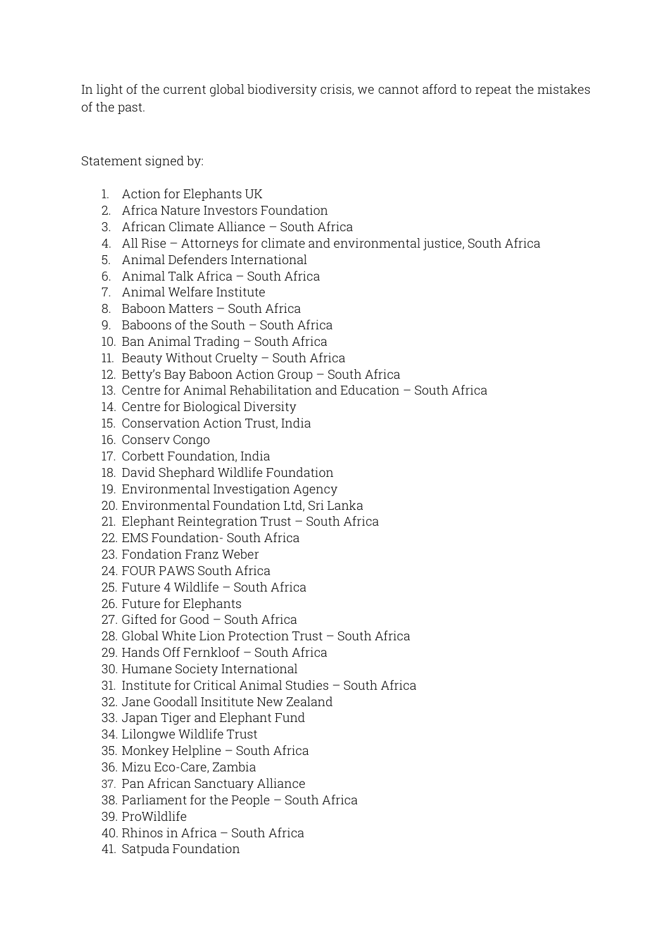In light of the current global biodiversity crisis, we cannot afford to repeat the mistakes of the past.

Statement signed by:

- 1. Action for Elephants UK
- 2. Africa Nature Investors Foundation
- 3. African Climate Alliance South Africa
- 4. All Rise Attorneys for climate and environmental justice, South Africa
- 5. Animal Defenders International
- 6. Animal Talk Africa South Africa
- 7. Animal Welfare Institute
- 8. Baboon Matters South Africa
- 9. Baboons of the South South Africa
- 10. Ban Animal Trading South Africa
- 11. Beauty Without Cruelty South Africa
- 12. Betty's Bay Baboon Action Group South Africa
- 13. Centre for Animal Rehabilitation and Education South Africa
- 14. Centre for Biological Diversity
- 15. Conservation Action Trust, India
- 16. Conserv Congo
- 17. Corbett Foundation, India
- 18. David Shephard Wildlife Foundation
- 19. Environmental Investigation Agency
- 20. Environmental Foundation Ltd, Sri Lanka
- 21. Elephant Reintegration Trust South Africa
- 22. EMS Foundation- South Africa
- 23. Fondation Franz Weber
- 24. FOUR PAWS South Africa
- 25. Future 4 Wildlife South Africa
- 26. Future for Elephants
- 27. Gifted for Good South Africa
- 28. Global White Lion Protection Trust South Africa
- 29. Hands Off Fernkloof South Africa
- 30. Humane Society International
- 31. Institute for Critical Animal Studies South Africa
- 32. Jane Goodall Insititute New Zealand
- 33. Japan Tiger and Elephant Fund
- 34. Lilongwe Wildlife Trust
- 35. Monkey Helpline South Africa
- 36. Mizu Eco-Care, Zambia
- 37. Pan African Sanctuary Alliance
- 38. Parliament for the People South Africa
- 39. ProWildlife
- 40. Rhinos in Africa South Africa
- 41. Satpuda Foundation